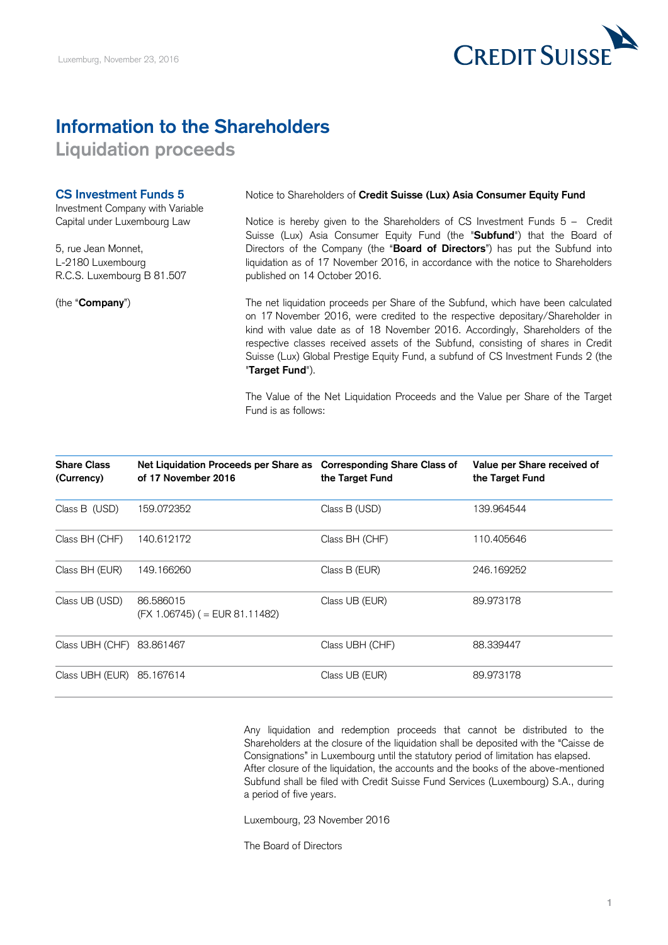# **Information to the Shareholders**

**Liquidation proceeds**

### **CS Investment Funds 5**

Investment Company with Variable Capital under Luxembourg Law

5, rue Jean Monnet, L-2180 Luxembourg R.C.S. Luxembourg B 81.507

(the "**Company**")

Notice to Shareholders of **Credit Suisse (Lux) Asia Consumer Equity Fund**

Notice is hereby given to the Shareholders of CS Investment Funds 5 – Credit Suisse (Lux) Asia Consumer Equity Fund (the "**Subfund**") that the Board of Directors of the Company (the "**Board of Directors**") has put the Subfund into liquidation as of 17 November 2016, in accordance with the notice to Shareholders published on 14 October 2016.

The net liquidation proceeds per Share of the Subfund, which have been calculated on 17 November 2016, were credited to the respective depositary/Shareholder in kind with value date as of 18 November 2016. Accordingly, Shareholders of the respective classes received assets of the Subfund, consisting of shares in Credit Suisse (Lux) Global Prestige Equity Fund, a subfund of CS Investment Funds 2 (the "**Target Fund**").

The Value of the Net Liquidation Proceeds and the Value per Share of the Target Fund is as follows:

| <b>Share Class</b><br>(Currency) | Net Liquidation Proceeds per Share as<br>of 17 November 2016 | <b>Corresponding Share Class of</b><br>the Target Fund | Value per Share received of<br>the Target Fund |
|----------------------------------|--------------------------------------------------------------|--------------------------------------------------------|------------------------------------------------|
| Class B (USD)                    | 159.072352                                                   | Class B (USD)                                          | 139.964544                                     |
| Class BH (CHF)                   | 140.612172                                                   | Class BH (CHF)                                         | 110.405646                                     |
| Class BH (EUR)                   | 149.166260                                                   | Class B (EUR)                                          | 246.169252                                     |
| Class UB (USD)                   | 86,586015<br>$(FX 1.06745)$ ( = EUR 81.11482)                | Class UB (EUR)                                         | 89.973178                                      |
| Class UBH (CHF) 83.861467        |                                                              | Class UBH (CHF)                                        | 88.339447                                      |
| Class UBH (EUR)                  | 85.167614                                                    | Class UB (EUR)                                         | 89.973178                                      |

Any liquidation and redemption proceeds that cannot be distributed to the Shareholders at the closure of the liquidation shall be deposited with the "Caisse de Consignations" in Luxembourg until the statutory period of limitation has elapsed. After closure of the liquidation, the accounts and the books of the above-mentioned Subfund shall be filed with Credit Suisse Fund Services (Luxembourg) S.A., during a period of five years.

Luxembourg, 23 November 2016

The Board of Directors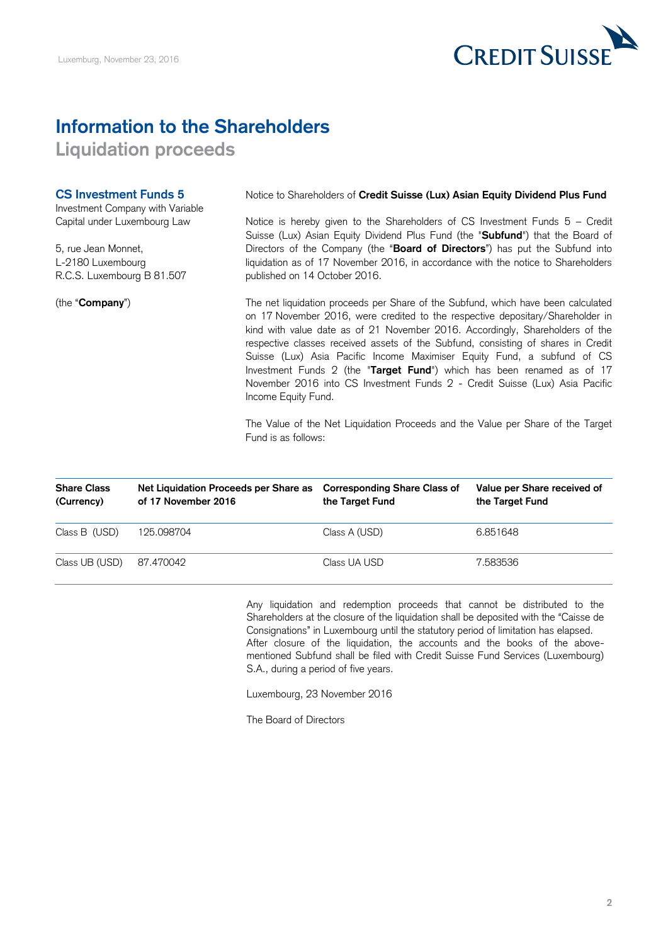

## **Information to the Shareholders**

**Liquidation proceeds**

### **CS Investment Funds 5**

Investment Company with Variable Capital under Luxembourg Law

5, rue Jean Monnet, L-2180 Luxembourg R.C.S. Luxembourg B 81.507

(the "**Company**")

Notice to Shareholders of **Credit Suisse (Lux) Asian Equity Dividend Plus Fund**

Notice is hereby given to the Shareholders of CS Investment Funds 5 – Credit Suisse (Lux) Asian Equity Dividend Plus Fund (the "**Subfund**") that the Board of Directors of the Company (the "**Board of Directors**") has put the Subfund into liquidation as of 17 November 2016, in accordance with the notice to Shareholders published on 14 October 2016.

The net liquidation proceeds per Share of the Subfund, which have been calculated on 17 November 2016, were credited to the respective depositary/Shareholder in kind with value date as of 21 November 2016. Accordingly, Shareholders of the respective classes received assets of the Subfund, consisting of shares in Credit Suisse (Lux) Asia Pacific Income Maximiser Equity Fund, a subfund of CS Investment Funds 2 (the "**Target Fund**") which has been renamed as of 17 November 2016 into CS Investment Funds 2 - Credit Suisse (Lux) Asia Pacific Income Equity Fund.

The Value of the Net Liquidation Proceeds and the Value per Share of the Target Fund is as follows:

| <b>Share Class</b><br>(Currency) | Net Liquidation Proceeds per Share as<br>of 17 November 2016 | <b>Corresponding Share Class of</b><br>the Target Fund | Value per Share received of<br>the Target Fund |
|----------------------------------|--------------------------------------------------------------|--------------------------------------------------------|------------------------------------------------|
| Class B (USD)                    | 125.098704                                                   | Class A (USD)                                          | 6.851648                                       |
| Class UB (USD)                   | 87.470042                                                    | Class UA USD                                           | 7.583536                                       |

Any liquidation and redemption proceeds that cannot be distributed to the Shareholders at the closure of the liquidation shall be deposited with the "Caisse de Consignations" in Luxembourg until the statutory period of limitation has elapsed. After closure of the liquidation, the accounts and the books of the abovementioned Subfund shall be filed with Credit Suisse Fund Services (Luxembourg) S.A., during a period of five years.

Luxembourg, 23 November 2016

The Board of Directors